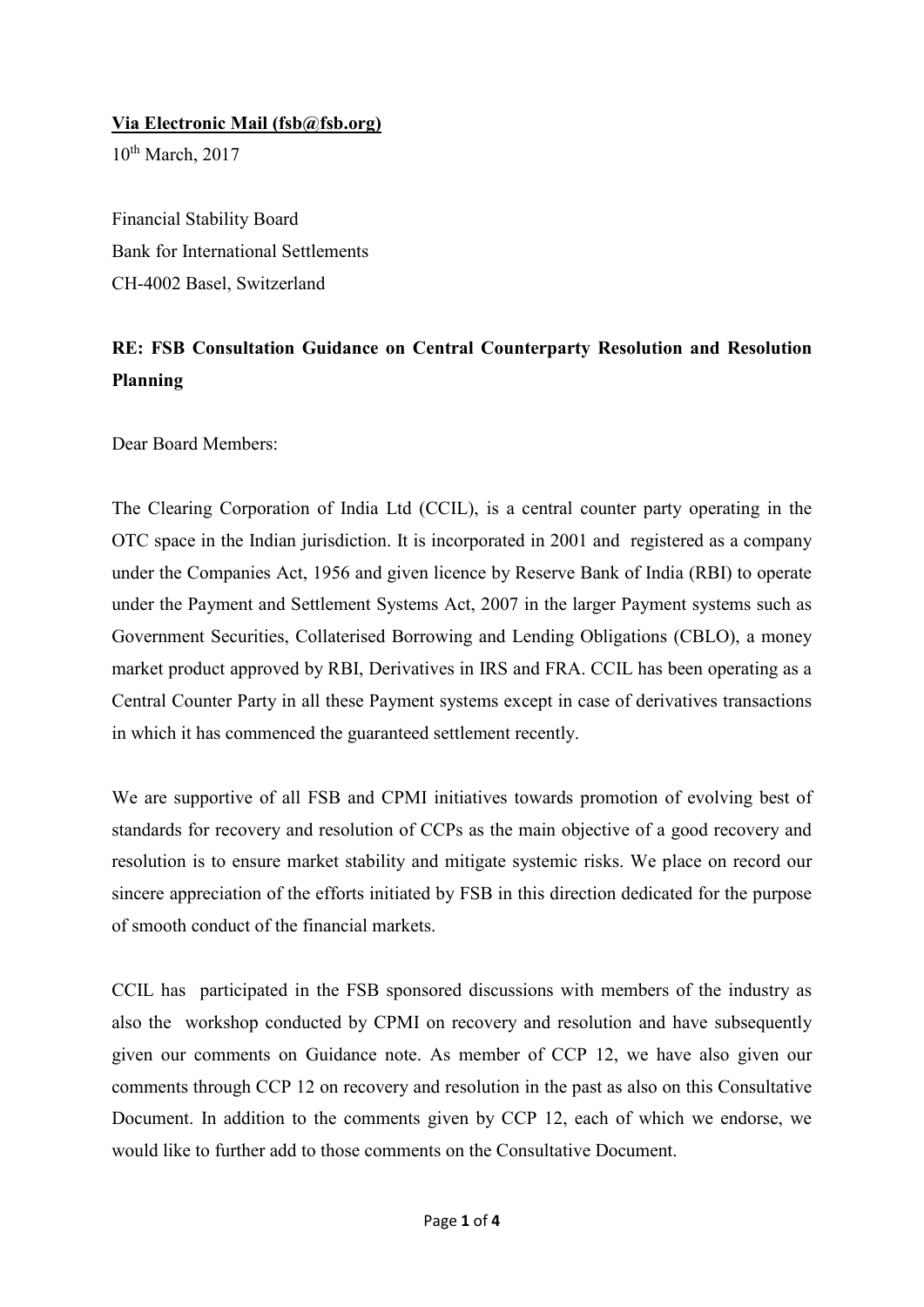## **Via Electronic Mail (fsb@fsb.org)**

10<sup>th</sup> March, 2017

Financial Stability Board Bank for International Settlements CH-4002 Basel, Switzerland

## **RE: FSB Consultation Guidance on Central Counterparty Resolution and Resolution Planning**

Dear Board Members:

The Clearing Corporation of India Ltd (CCIL), is a central counter party operating in the OTC space in the Indian jurisdiction. It is incorporated in 2001 and registered as a company under the Companies Act, 1956 and given licence by Reserve Bank of India (RBI) to operate under the Payment and Settlement Systems Act, 2007 in the larger Payment systems such as Government Securities, Collaterised Borrowing and Lending Obligations (CBLO), a money market product approved by RBI, Derivatives in IRS and FRA. CCIL has been operating as a Central Counter Party in all these Payment systems except in case of derivatives transactions in which it has commenced the guaranteed settlement recently.

We are supportive of all FSB and CPMI initiatives towards promotion of evolving best of standards for recovery and resolution of CCPs as the main objective of a good recovery and resolution is to ensure market stability and mitigate systemic risks. We place on record our sincere appreciation of the efforts initiated by FSB in this direction dedicated for the purpose of smooth conduct of the financial markets.

CCIL has participated in the FSB sponsored discussions with members of the industry as also the workshop conducted by CPMI on recovery and resolution and have subsequently given our comments on Guidance note. As member of CCP 12, we have also given our comments through CCP 12 on recovery and resolution in the past as also on this Consultative Document. In addition to the comments given by CCP 12, each of which we endorse, we would like to further add to those comments on the Consultative Document.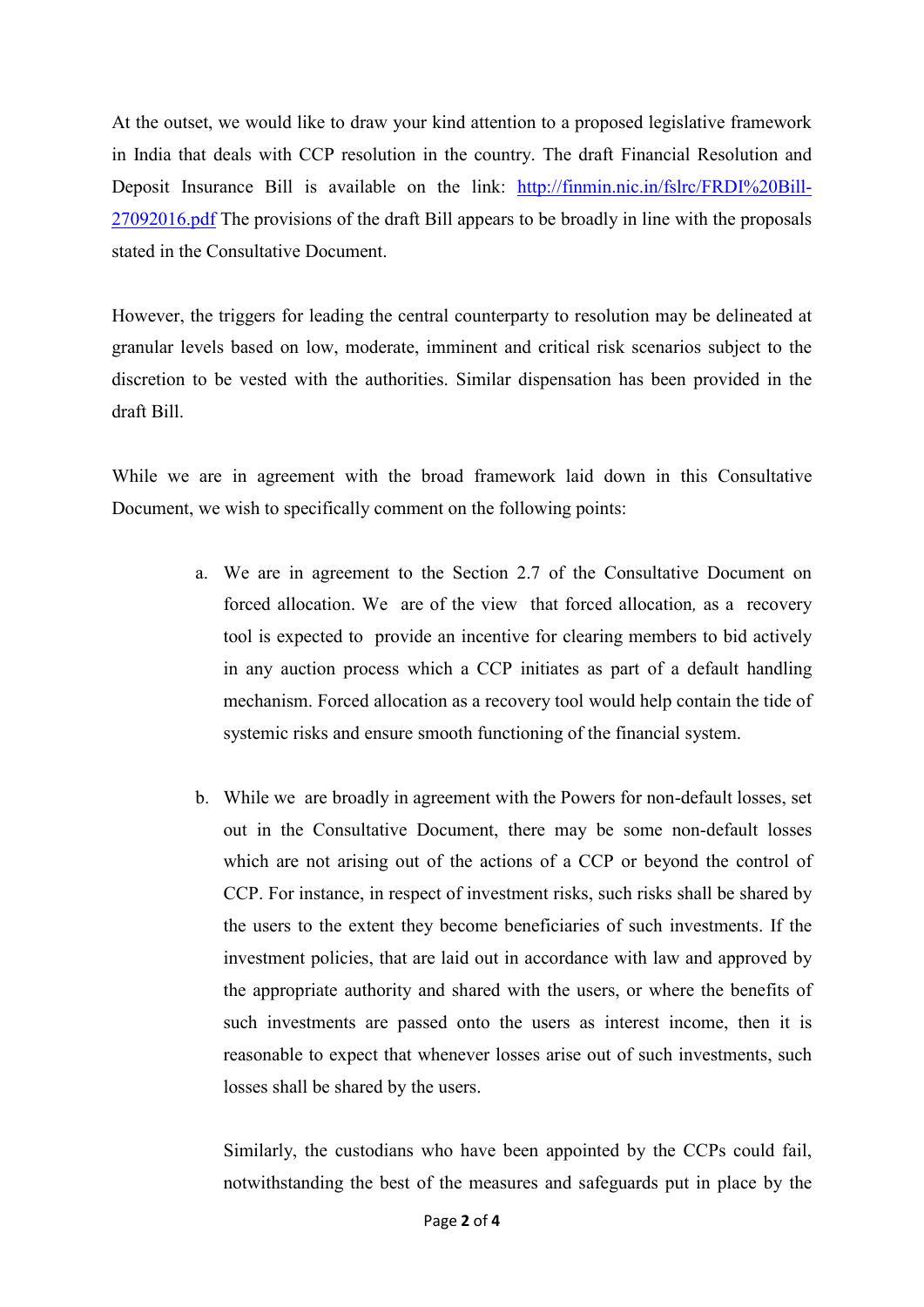At the outset, we would like to draw your kind attention to a proposed legislative framework in India that deals with CCP resolution in the country. The draft Financial Resolution and Deposit Insurance Bill is available on the link: [http://finmin.nic.in/fslrc/FRDI%20Bill-](http://finmin.nic.in/fslrc/FRDI%20Bill-27092016.pdf)[27092016.pdf](http://finmin.nic.in/fslrc/FRDI%20Bill-27092016.pdf) The provisions of the draft Bill appears to be broadly in line with the proposals stated in the Consultative Document.

However, the triggers for leading the central counterparty to resolution may be delineated at granular levels based on low, moderate, imminent and critical risk scenarios subject to the discretion to be vested with the authorities. Similar dispensation has been provided in the draft Bill.

While we are in agreement with the broad framework laid down in this Consultative Document, we wish to specifically comment on the following points:

- a. We are in agreement to the Section 2.7 of the Consultative Document on forced allocation. We are of the view that forced allocation*,* as a recovery tool is expected to provide an incentive for clearing members to bid actively in any auction process which a CCP initiates as part of a default handling mechanism. Forced allocation as a recovery tool would help contain the tide of systemic risks and ensure smooth functioning of the financial system.
- b. While we are broadly in agreement with the Powers for non-default losses, set out in the Consultative Document, there may be some non-default losses which are not arising out of the actions of a CCP or beyond the control of CCP. For instance, in respect of investment risks, such risks shall be shared by the users to the extent they become beneficiaries of such investments. If the investment policies, that are laid out in accordance with law and approved by the appropriate authority and shared with the users, or where the benefits of such investments are passed onto the users as interest income, then it is reasonable to expect that whenever losses arise out of such investments, such losses shall be shared by the users.

Similarly, the custodians who have been appointed by the CCPs could fail, notwithstanding the best of the measures and safeguards put in place by the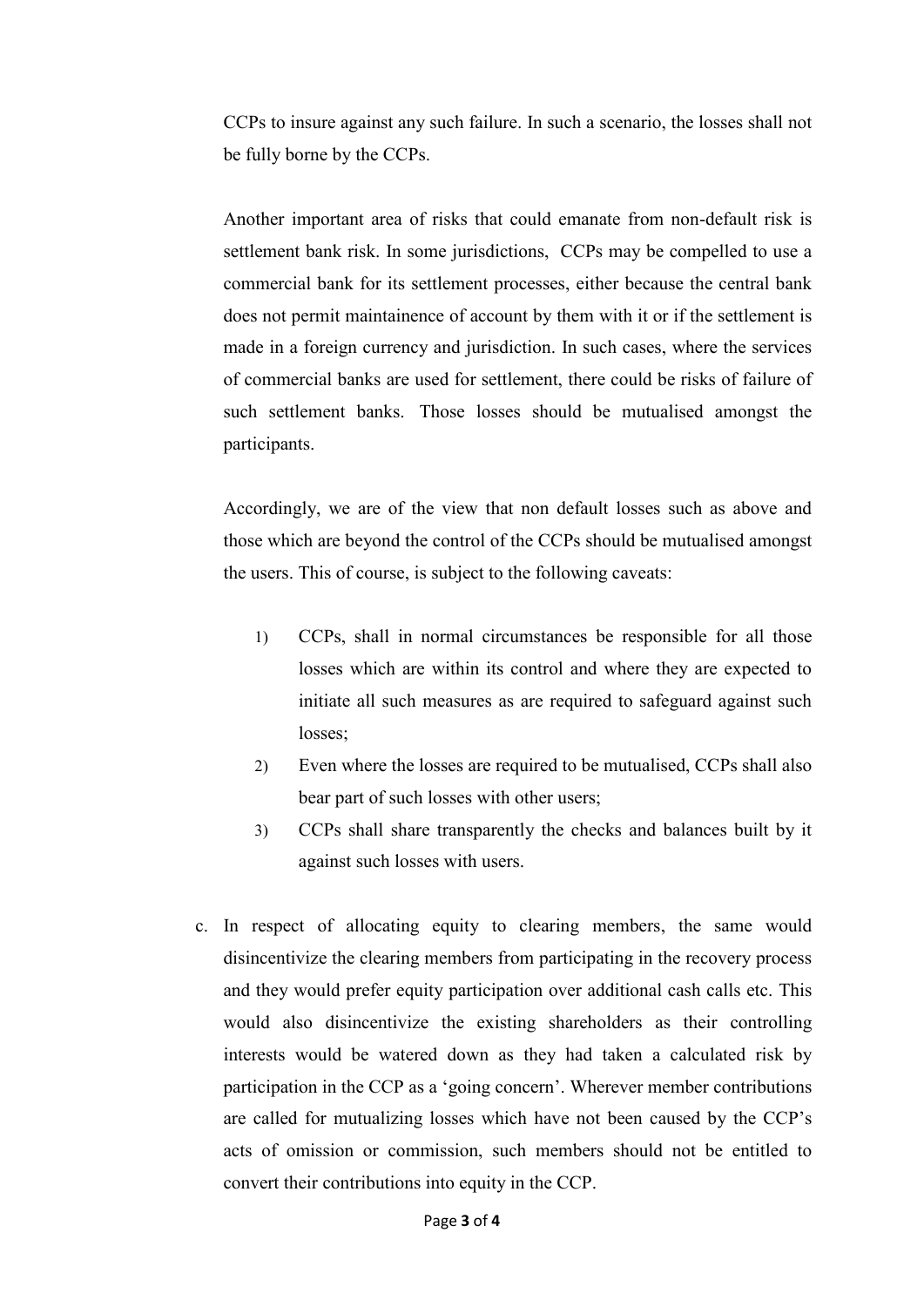CCPs to insure against any such failure. In such a scenario, the losses shall not be fully borne by the CCPs.

Another important area of risks that could emanate from non-default risk is settlement bank risk. In some jurisdictions, CCPs may be compelled to use a commercial bank for its settlement processes, either because the central bank does not permit maintainence of account by them with it or if the settlement is made in a foreign currency and jurisdiction. In such cases, where the services of commercial banks are used for settlement, there could be risks of failure of such settlement banks. Those losses should be mutualised amongst the participants.

Accordingly, we are of the view that non default losses such as above and those which are beyond the control of the CCPs should be mutualised amongst the users. This of course, is subject to the following caveats:

- 1) CCPs, shall in normal circumstances be responsible for all those losses which are within its control and where they are expected to initiate all such measures as are required to safeguard against such losses;
- 2) Even where the losses are required to be mutualised, CCPs shall also bear part of such losses with other users;
- 3) CCPs shall share transparently the checks and balances built by it against such losses with users.
- c. In respect of allocating equity to clearing members, the same would disincentivize the clearing members from participating in the recovery process and they would prefer equity participation over additional cash calls etc. This would also disincentivize the existing shareholders as their controlling interests would be watered down as they had taken a calculated risk by participation in the CCP as a 'going concern'. Wherever member contributions are called for mutualizing losses which have not been caused by the CCP's acts of omission or commission, such members should not be entitled to convert their contributions into equity in the CCP.